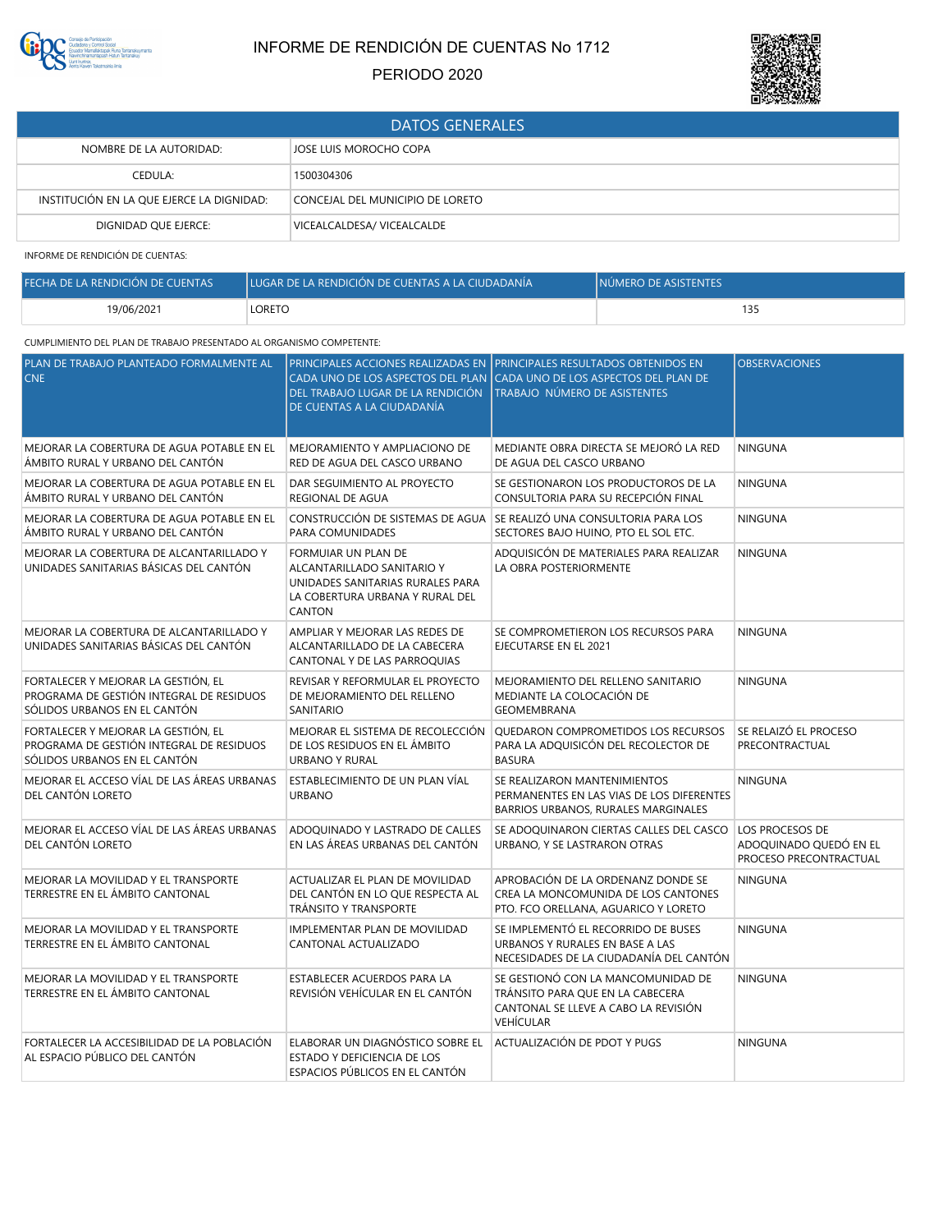

# INFORME DE RENDICIÓN DE CUENTAS No 1712

## PERIODO 2020



| <b>DATOS GENERALES</b>                    |                                  |  |
|-------------------------------------------|----------------------------------|--|
| NOMBRE DE LA AUTORIDAD:                   | JOSE LUIS MOROCHO COPA           |  |
| CEDULA:                                   | 1500304306                       |  |
| INSTITUCIÓN EN LA QUE EJERCE LA DIGNIDAD: | CONCEJAL DEL MUNICIPIO DE LORETO |  |
| DIGNIDAD QUE EJERCE:                      | VICEALCALDESA/VICEALCALDE        |  |

INFORME DE RENDICIÓN DE CUENTAS:

| FECHA DE LA RENDICIÓN DE CUENTAS | LUGAR DE LA RENDICIÓN DE CUENTAS A LA CIUDADANÍA | INÚMERO DE ASISTENTES |
|----------------------------------|--------------------------------------------------|-----------------------|
| 19/06/2021                       | LORETO                                           | 135                   |

### CUMPLIMIENTO DEL PLAN DE TRABAJO PRESENTADO AL ORGANISMO COMPETENTE:

| PLAN DE TRABAJO PLANTEADO FORMALMENTE AL<br><b>CNE</b>                                                          | DEL TRABAJO LUGAR DE LA RENDICIÓN<br>DE CUENTAS A LA CIUDADANÍA                                                                    | PRINCIPALES ACCIONES REALIZADAS EN PRINCIPALES RESULTADOS OBTENIDOS EN<br>CADA UNO DE LOS ASPECTOS DEL PLAN CADA UNO DE LOS ASPECTOS DEL PLAN DE<br>TRABAJO NÚMERO DE ASISTENTES | <b>OBSERVACIONES</b>                                                |
|-----------------------------------------------------------------------------------------------------------------|------------------------------------------------------------------------------------------------------------------------------------|----------------------------------------------------------------------------------------------------------------------------------------------------------------------------------|---------------------------------------------------------------------|
| MEJORAR LA COBERTURA DE AGUA POTABLE EN EL<br>ÁMBITO RURAL Y URBANO DEL CANTÓN                                  | MEJORAMIENTO Y AMPLIACIONO DE<br>RED DE AGUA DEL CASCO URBANO                                                                      | MEDIANTE OBRA DIRECTA SE MEJORÓ LA RED<br>DE AGUA DEL CASCO URBANO                                                                                                               | <b>NINGUNA</b>                                                      |
| MEJORAR LA COBERTURA DE AGUA POTABLE EN EL<br>ÁMBITO RURAL Y URBANO DEL CANTÓN                                  | DAR SEGUIMIENTO AL PROYECTO<br>REGIONAL DE AGUA                                                                                    | SE GESTIONARON LOS PRODUCTOROS DE LA<br>CONSULTORIA PARA SU RECEPCIÓN FINAL                                                                                                      | <b>NINGUNA</b>                                                      |
| MEJORAR LA COBERTURA DE AGUA POTABLE EN EL<br>ÁMBITO RURAL Y URBANO DEL CANTÓN                                  | PARA COMUNIDADES                                                                                                                   | CONSTRUCCIÓN DE SISTEMAS DE AGUA SE REALIZÓ UNA CONSULTORIA PARA LOS<br>SECTORES BAJO HUINO, PTO EL SOL ETC.                                                                     | <b>NINGUNA</b>                                                      |
| MEJORAR LA COBERTURA DE ALCANTARILLADO Y<br>UNIDADES SANITARIAS BÁSICAS DEL CANTÓN                              | FORMUIAR UN PLAN DE<br>ALCANTARILLADO SANITARIO Y<br>UNIDADES SANITARIAS RURALES PARA<br>LA COBERTURA URBANA Y RURAL DEL<br>CANTON | ADOUISICÓN DE MATERIALES PARA REALIZAR<br>LA OBRA POSTERIORMENTE                                                                                                                 | <b>NINGUNA</b>                                                      |
| MEJORAR LA COBERTURA DE ALCANTARILLADO Y<br>UNIDADES SANITARIAS BÁSICAS DEL CANTÓN                              | AMPLIAR Y MEJORAR LAS REDES DE<br>ALCANTARILLADO DE LA CABECERA<br>CANTONAL Y DE LAS PARROQUIAS                                    | SE COMPROMETIERON LOS RECURSOS PARA<br>EJECUTARSE EN EL 2021                                                                                                                     | <b>NINGUNA</b>                                                      |
| FORTALECER Y MEJORAR LA GESTIÓN, EL<br>PROGRAMA DE GESTIÓN INTEGRAL DE RESIDUOS<br>SÓLIDOS URBANOS EN EL CANTÓN | REVISAR Y REFORMULAR EL PROYECTO<br>DE MEJORAMIENTO DEL RELLENO<br>SANITARIO                                                       | MEJORAMIENTO DEL RELLENO SANITARIO<br>MEDIANTE LA COLOCACIÓN DE<br>GEOMEMBRANA                                                                                                   | <b>NINGUNA</b>                                                      |
| FORTALECER Y MEJORAR LA GESTIÓN, EL<br>PROGRAMA DE GESTIÓN INTEGRAL DE RESIDUOS<br>SÓLIDOS URBANOS EN EL CANTÓN | MEJORAR EL SISTEMA DE RECOLECCIÓN<br>DE LOS RESIDUOS EN EL ÁMBITO<br>URBANO Y RURAL                                                | QUEDARON COMPROMETIDOS LOS RECURSOS<br>PARA LA ADQUISICÓN DEL RECOLECTOR DE<br><b>BASURA</b>                                                                                     | SE RELAIZÓ EL PROCESO<br>PRECONTRACTUAL                             |
| MEJORAR EL ACCESO VÍAL DE LAS ÁREAS URBANAS<br>DEL CANTÓN LORETO                                                | ESTABLECIMIENTO DE UN PLAN VÍAL<br><b>URBANO</b>                                                                                   | SE REALIZARON MANTENIMIENTOS<br>PERMANENTES EN LAS VIAS DE LOS DIFERENTES<br>BARRIOS URBANOS, RURALES MARGINALES                                                                 | NINGUNA                                                             |
| MEJORAR EL ACCESO VÍAL DE LAS ÁREAS URBANAS<br>DEL CANTÓN LORETO                                                | ADOQUINADO Y LASTRADO DE CALLES<br>EN LAS ÁREAS URBANAS DEL CANTÓN                                                                 | SE ADOQUINARON CIERTAS CALLES DEL CASCO<br>URBANO, Y SE LASTRARON OTRAS                                                                                                          | LOS PROCESOS DE<br>ADOQUINADO QUEDÓ EN EL<br>PROCESO PRECONTRACTUAL |
| MEJORAR LA MOVILIDAD Y EL TRANSPORTE<br>TERRESTRE EN EL ÁMBITO CANTONAL                                         | ACTUALIZAR EL PLAN DE MOVILIDAD<br>DEL CANTÓN EN LO QUE RESPECTA AL<br>TRÁNSITO Y TRANSPORTE                                       | APROBACIÓN DE LA ORDENANZ DONDE SE<br>CREA LA MONCOMUNIDA DE LOS CANTONES<br>PTO. FCO ORELLANA, AGUARICO Y LORETO                                                                | <b>NINGUNA</b>                                                      |
| MEJORAR LA MOVILIDAD Y EL TRANSPORTE<br>TERRESTRE EN EL ÁMBITO CANTONAL                                         | IMPLEMENTAR PLAN DE MOVILIDAD<br>CANTONAL ACTUALIZADO                                                                              | SE IMPLEMENTÓ EL RECORRIDO DE BUSES<br>URBANOS Y RURALES EN BASE A LAS<br>NECESIDADES DE LA CIUDADANÍA DEL CANTÓN                                                                | <b>NINGUNA</b>                                                      |
| MEJORAR LA MOVILIDAD Y EL TRANSPORTE<br>TERRESTRE EN EL ÁMBITO CANTONAL                                         | ESTABLECER ACUERDOS PARA LA<br>REVISIÓN VEHÍCULAR EN EL CANTÓN                                                                     | SE GESTIONÓ CON LA MANCOMUNIDAD DE<br>TRÁNSITO PARA QUE EN LA CABECERA<br>CANTONAL SE LLEVE A CABO LA REVISIÓN<br><b>VEHÍCULAR</b>                                               | <b>NINGUNA</b>                                                      |
| FORTALECER LA ACCESIBILIDAD DE LA POBLACIÓN<br>AL ESPACIO PÚBLICO DEL CANTÓN                                    | ELABORAR UN DIAGNÓSTICO SOBRE EL<br>ESTADO Y DEFICIENCIA DE LOS<br>ESPACIOS PÚBLICOS EN EL CANTÓN                                  | ACTUALIZACIÓN DE PDOT Y PUGS                                                                                                                                                     | <b>NINGUNA</b>                                                      |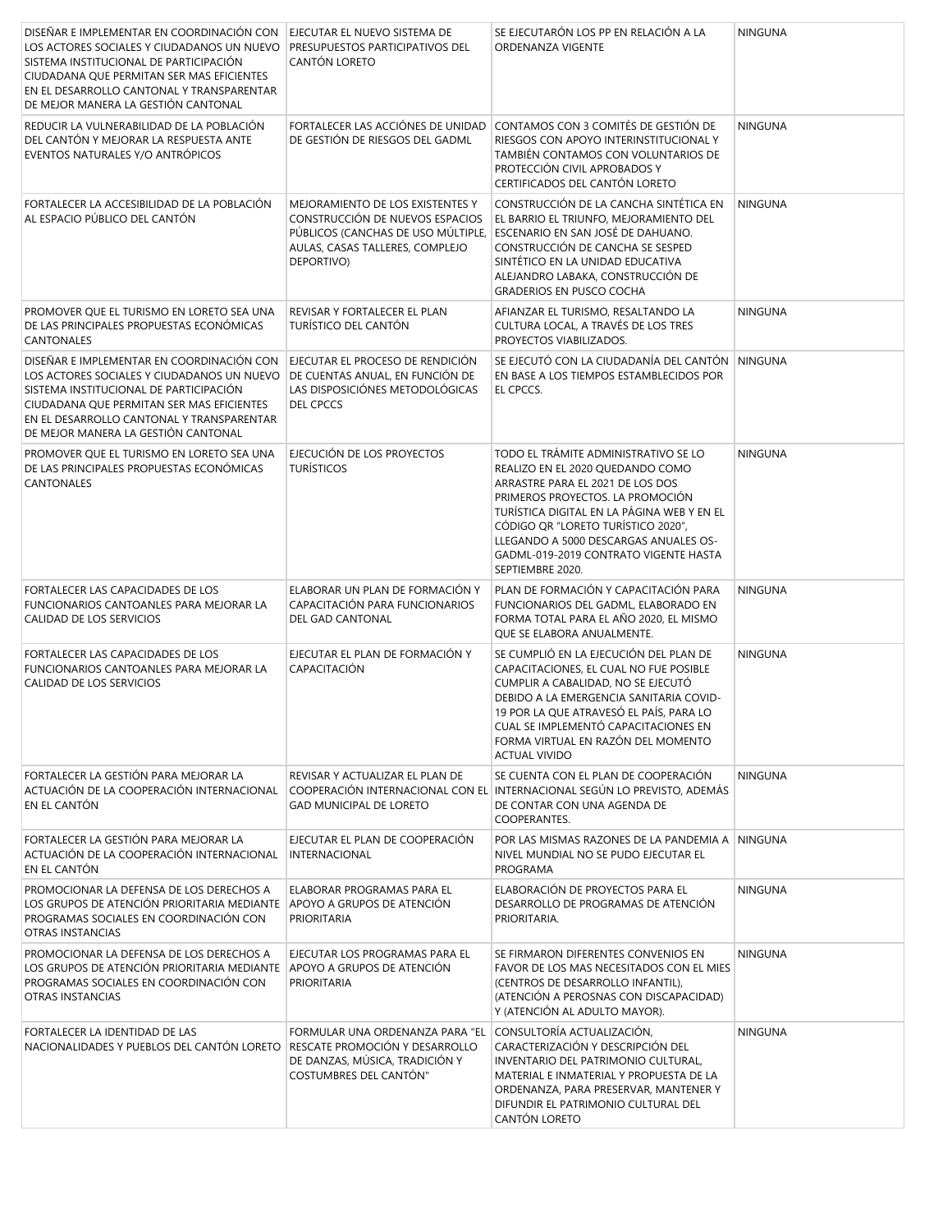| DISEÑAR E IMPLEMENTAR EN COORDINACIÓN CON<br>LOS ACTORES SOCIALES Y CIUDADANOS UN NUEVO<br>SISTEMA INSTITUCIONAL DE PARTICIPACIÓN<br>CIUDADANA QUE PERMITAN SER MAS EFICIENTES<br>EN EL DESARROLLO CANTONAL Y TRANSPARENTAR<br>DE MEJOR MANERA LA GESTIÓN CANTONAL | EJECUTAR EL NUEVO SISTEMA DE<br>PRESUPUESTOS PARTICIPATIVOS DEL<br>CANTÓN LORETO                                                                           | SE EJECUTARÓN LOS PP EN RELACIÓN A LA<br>ORDENANZA VIGENTE                                                                                                                                                                                                                                                                                 | <b>NINGUNA</b> |
|--------------------------------------------------------------------------------------------------------------------------------------------------------------------------------------------------------------------------------------------------------------------|------------------------------------------------------------------------------------------------------------------------------------------------------------|--------------------------------------------------------------------------------------------------------------------------------------------------------------------------------------------------------------------------------------------------------------------------------------------------------------------------------------------|----------------|
| REDUCIR LA VULNERABILIDAD DE LA POBLACIÓN<br>DEL CANTÓN Y MEJORAR LA RESPUESTA ANTE<br>EVENTOS NATURALES Y/O ANTRÓPICOS                                                                                                                                            | FORTALECER LAS ACCIÓNES DE UNIDAD<br>DE GESTIÓN DE RIESGOS DEL GADML                                                                                       | CONTAMOS CON 3 COMITÉS DE GESTIÓN DE<br>RIESGOS CON APOYO INTERINSTITUCIONAL Y<br>TAMBIÉN CONTAMOS CON VOLUNTARIOS DE<br>PROTECCIÓN CIVIL APROBADOS Y<br>CERTIFICADOS DEL CANTÓN LORETO                                                                                                                                                    | <b>NINGUNA</b> |
| FORTALECER LA ACCESIBILIDAD DE LA POBLACIÓN<br>AL ESPACIO PÚBLICO DEL CANTÓN                                                                                                                                                                                       | MEJORAMIENTO DE LOS EXISTENTES Y<br>CONSTRUCCIÓN DE NUEVOS ESPACIOS<br>PÚBLICOS (CANCHAS DE USO MÚLTIPLE,<br>AULAS, CASAS TALLERES, COMPLEJO<br>DEPORTIVO) | CONSTRUCCIÓN DE LA CANCHA SINTÉTICA EN<br>EL BARRIO EL TRIUNFO, MEJORAMIENTO DEL<br>ESCENARIO EN SAN JOSÉ DE DAHUANO.<br>CONSTRUCCIÓN DE CANCHA SE SESPED<br>SINTÉTICO EN LA UNIDAD EDUCATIVA<br>ALEJANDRO LABAKA, CONSTRUCCIÓN DE<br><b>GRADERIOS EN PUSCO COCHA</b>                                                                      | <b>NINGUNA</b> |
| PROMOVER QUE EL TURISMO EN LORETO SEA UNA<br>DE LAS PRINCIPALES PROPUESTAS ECONÓMICAS<br><b>CANTONALES</b>                                                                                                                                                         | REVISAR Y FORTALECER EL PLAN<br>TURÍSTICO DEL CANTÓN                                                                                                       | AFIANZAR EL TURISMO, RESALTANDO LA<br>CULTURA LOCAL, A TRAVÉS DE LOS TRES<br>PROYECTOS VIABILIZADOS.                                                                                                                                                                                                                                       | <b>NINGUNA</b> |
| DISEÑAR E IMPLEMENTAR EN COORDINACIÓN CON<br>LOS ACTORES SOCIALES Y CIUDADANOS UN NUEVO<br>SISTEMA INSTITUCIONAL DE PARTICIPACIÓN<br>CIUDADANA QUE PERMITAN SER MAS EFICIENTES<br>EN EL DESARROLLO CANTONAL Y TRANSPARENTAR<br>DE MEJOR MANERA LA GESTIÓN CANTONAL | EJECUTAR EL PROCESO DE RENDICIÓN<br>DE CUENTAS ANUAL, EN FUNCIÓN DE<br>LAS DISPOSICIÓNES METODOLÓGICAS<br>DEL CPCCS                                        | SE EJECUTÓ CON LA CIUDADANÍA DEL CANTÓN NINGUNA<br>EN BASE A LOS TIEMPOS ESTAMBLECIDOS POR<br>EL CPCCS.                                                                                                                                                                                                                                    |                |
| PROMOVER QUE EL TURISMO EN LORETO SEA UNA<br>DE LAS PRINCIPALES PROPUESTAS ECONÓMICAS<br>CANTONALES                                                                                                                                                                | EJECUCIÓN DE LOS PROYECTOS<br><b>TURÍSTICOS</b>                                                                                                            | TODO EL TRÁMITE ADMINISTRATIVO SE LO<br>REALIZO EN EL 2020 QUEDANDO COMO<br>ARRASTRE PARA EL 2021 DE LOS DOS<br>PRIMEROS PROYECTOS. LA PROMOCIÓN<br>TURÍSTICA DIGITAL EN LA PÁGINA WEB Y EN EL<br>CÓDIGO QR "LORETO TURÍSTICO 2020",<br>LLEGANDO A 5000 DESCARGAS ANUALES OS-<br>GADML-019-2019 CONTRATO VIGENTE HASTA<br>SEPTIEMBRE 2020. | <b>NINGUNA</b> |
| FORTALECER LAS CAPACIDADES DE LOS<br>FUNCIONARIOS CANTOANLES PARA MEJORAR LA<br>CALIDAD DE LOS SERVICIOS                                                                                                                                                           | ELABORAR UN PLAN DE FORMACIÓN Y<br>CAPACITACIÓN PARA FUNCIONARIOS<br>DEL GAD CANTONAL                                                                      | PLAN DE FORMACIÓN Y CAPACITACIÓN PARA<br>FUNCIONARIOS DEL GADML, ELABORADO EN<br>FORMA TOTAL PARA EL AÑO 2020, EL MISMO<br>QUE SE ELABORA ANUALMENTE.                                                                                                                                                                                      | NINGUNA        |
| FORTALECER LAS CAPACIDADES DE LOS<br>FUNCIONARIOS CANTOANLES PARA MEJORAR LA<br>CALIDAD DE LOS SERVICIOS                                                                                                                                                           | EJECUTAR EL PLAN DE FORMACIÓN Y<br>CAPACITACIÓN                                                                                                            | SE CUMPLIÓ EN LA EJECUCIÓN DEL PLAN DE<br>CAPACITACIONES, EL CUAL NO FUE POSIBLE<br>CUMPLIR A CABALIDAD, NO SE EJECUTÓ<br>DEBIDO A LA EMERGENCIA SANITARIA COVID-<br>19 POR LA QUE ATRAVESÓ EL PAÍS, PARA LO<br>CUAL SE IMPLEMENTO CAPACITACIONES EN<br>FORMA VIRTUAL EN RAZÓN DEL MOMENTO<br><b>ACTUAL VIVIDO</b>                         | <b>NINGUNA</b> |
| FORTALECER LA GESTIÓN PARA MEJORAR LA<br>ACTUACIÓN DE LA COOPERACIÓN INTERNACIONAL<br>EN EL CANTÓN                                                                                                                                                                 | REVISAR Y ACTUALIZAR EL PLAN DE<br><b>GAD MUNICIPAL DE LORETO</b>                                                                                          | SE CUENTA CON EL PLAN DE COOPERACIÓN<br>COOPERACIÓN INTERNACIONAL CON EL INTERNACIONAL SEGÚN LO PREVISTO. ADEMÁS<br>DE CONTAR CON UNA AGENDA DE<br>COOPERANTES.                                                                                                                                                                            | <b>NINGUNA</b> |
| FORTALECER LA GESTIÓN PARA MEJORAR LA<br>ACTUACIÓN DE LA COOPERACIÓN INTERNACIONAL<br>EN EL CANTÓN                                                                                                                                                                 | EJECUTAR EL PLAN DE COOPERACIÓN<br><b>INTERNACIONAL</b>                                                                                                    | POR LAS MISMAS RAZONES DE LA PANDEMIA A<br>NIVEL MUNDIAL NO SE PUDO EJECUTAR EL<br>PROGRAMA                                                                                                                                                                                                                                                | <b>NINGUNA</b> |
| PROMOCIONAR LA DEFENSA DE LOS DERECHOS A<br>LOS GRUPOS DE ATENCIÓN PRIORITARIA MEDIANTE<br>PROGRAMAS SOCIALES EN COORDINACIÓN CON<br>OTRAS INSTANCIAS                                                                                                              | ELABORAR PROGRAMAS PARA EL<br>APOYO A GRUPOS DE ATENCIÓN<br>PRIORITARIA                                                                                    | ELABORACIÓN DE PROYECTOS PARA EL<br>DESARROLLO DE PROGRAMAS DE ATENCIÓN<br>PRIORITARIA.                                                                                                                                                                                                                                                    | <b>NINGUNA</b> |
| PROMOCIONAR LA DEFENSA DE LOS DERECHOS A<br>LOS GRUPOS DE ATENCIÓN PRIORITARIA MEDIANTE<br>PROGRAMAS SOCIALES EN COORDINACIÓN CON<br>OTRAS INSTANCIAS                                                                                                              | EJECUTAR LOS PROGRAMAS PARA EL<br>APOYO A GRUPOS DE ATENCIÓN<br>PRIORITARIA                                                                                | SE FIRMARON DIFERENTES CONVENIOS EN<br>FAVOR DE LOS MAS NECESITADOS CON EL MIES<br>(CENTROS DE DESARROLLO INFANTIL),<br>(ATENCIÓN A PEROSNAS CON DISCAPACIDAD)<br>Y (ATENCIÓN AL ADULTO MAYOR).                                                                                                                                            | <b>NINGUNA</b> |
| FORTALECER LA IDENTIDAD DE LAS<br>NACIONALIDADES Y PUEBLOS DEL CANTÓN LORETO                                                                                                                                                                                       | FORMULAR UNA ORDENANZA PARA "EL<br>RESCATE PROMOCIÓN Y DESARROLLO<br>DE DANZAS, MÚSICA, TRADICIÓN Y<br>COSTUMBRES DEL CANTÓN"                              | CONSULTORÍA ACTUALIZACIÓN,<br>CARACTERIZACIÓN Y DESCRIPCIÓN DEL<br>INVENTARIO DEL PATRIMONIO CULTURAL,<br>MATERIAL E INMATERIAL Y PROPUESTA DE LA<br>ORDENANZA, PARA PRESERVAR, MANTENER Y<br>DIFUNDIR EL PATRIMONIO CULTURAL DEL<br>CANTÓN LORETO                                                                                         | <b>NINGUNA</b> |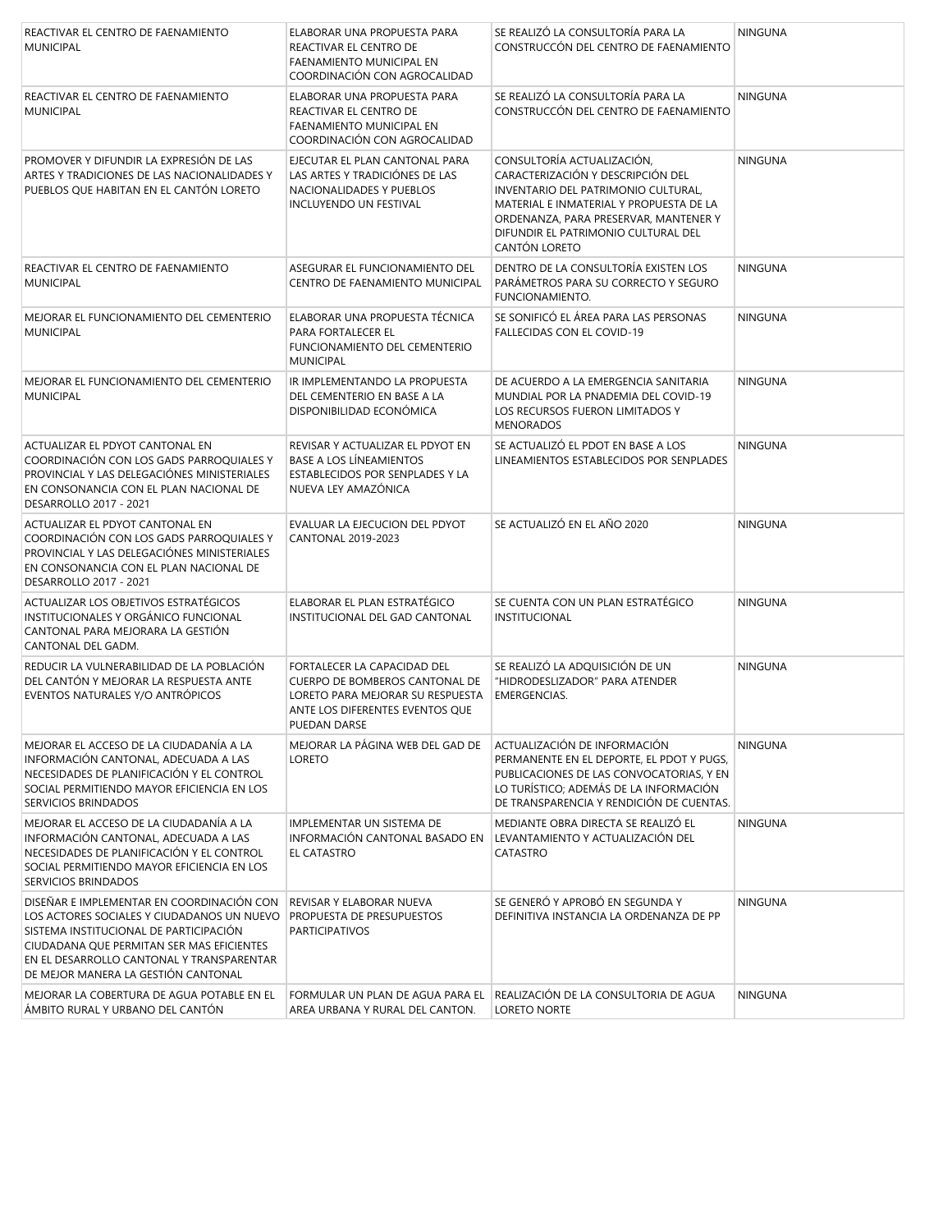| REACTIVAR EL CENTRO DE FAENAMIENTO<br><b>MUNICIPAL</b>                                                                                                                                                                                                             | ELABORAR UNA PROPUESTA PARA<br>REACTIVAR EL CENTRO DE<br>FAENAMIENTO MUNICIPAL EN<br>COORDINACIÓN CON AGROCALIDAD                                    | SE REALIZÓ LA CONSULTORÍA PARA LA<br>CONSTRUCCÓN DEL CENTRO DE FAENAMIENTO                                                                                                                                                                         | <b>NINGUNA</b> |
|--------------------------------------------------------------------------------------------------------------------------------------------------------------------------------------------------------------------------------------------------------------------|------------------------------------------------------------------------------------------------------------------------------------------------------|----------------------------------------------------------------------------------------------------------------------------------------------------------------------------------------------------------------------------------------------------|----------------|
| REACTIVAR EL CENTRO DE FAENAMIENTO<br><b>MUNICIPAL</b>                                                                                                                                                                                                             | ELABORAR UNA PROPUESTA PARA<br>REACTIVAR EL CENTRO DE<br><b>FAENAMIENTO MUNICIPAL EN</b><br>COORDINACIÓN CON AGROCALIDAD                             | SE REALIZÓ LA CONSULTORÍA PARA LA<br>CONSTRUCCÓN DEL CENTRO DE FAENAMIENTO                                                                                                                                                                         | <b>NINGUNA</b> |
| PROMOVER Y DIFUNDIR LA EXPRESIÓN DE LAS<br>ARTES Y TRADICIONES DE LAS NACIONALIDADES Y<br>PUEBLOS QUE HABITAN EN EL CANTÓN LORETO                                                                                                                                  | EJECUTAR EL PLAN CANTONAL PARA<br>LAS ARTES Y TRADICIÓNES DE LAS<br>NACIONALIDADES Y PUEBLOS<br>INCLUYENDO UN FESTIVAL                               | CONSULTORÍA ACTUALIZACIÓN,<br>CARACTERIZACIÓN Y DESCRIPCIÓN DEL<br>INVENTARIO DEL PATRIMONIO CULTURAL,<br>MATERIAL E INMATERIAL Y PROPUESTA DE LA<br>ORDENANZA, PARA PRESERVAR, MANTENER Y<br>DIFUNDIR EL PATRIMONIO CULTURAL DEL<br>CANTÓN LORETO | <b>NINGUNA</b> |
| REACTIVAR EL CENTRO DE FAENAMIENTO<br><b>MUNICIPAL</b>                                                                                                                                                                                                             | ASEGURAR EL FUNCIONAMIENTO DEL<br>CENTRO DE FAENAMIENTO MUNICIPAL                                                                                    | DENTRO DE LA CONSULTORÍA EXISTEN LOS<br>PARÁMETROS PARA SU CORRECTO Y SEGURO<br>FUNCIONAMIENTO.                                                                                                                                                    | <b>NINGUNA</b> |
| MEJORAR EL FUNCIONAMIENTO DEL CEMENTERIO<br><b>MUNICIPAL</b>                                                                                                                                                                                                       | ELABORAR UNA PROPUESTA TÉCNICA<br>PARA FORTALECER EL<br>FUNCIONAMIENTO DEL CEMENTERIO<br><b>MUNICIPAL</b>                                            | SE SONIFICÓ EL ÁREA PARA LAS PERSONAS<br>FALLECIDAS CON EL COVID-19                                                                                                                                                                                | <b>NINGUNA</b> |
| MEJORAR EL FUNCIONAMIENTO DEL CEMENTERIO<br><b>MUNICIPAL</b>                                                                                                                                                                                                       | IR IMPLEMENTANDO LA PROPUESTA<br>DEL CEMENTERIO EN BASE A LA<br>DISPONIBILIDAD ECONÓMICA                                                             | DE ACUERDO A LA EMERGENCIA SANITARIA<br>MUNDIAL POR LA PNADEMIA DEL COVID-19<br>LOS RECURSOS FUERON LIMITADOS Y<br><b>MENORADOS</b>                                                                                                                | <b>NINGUNA</b> |
| ACTUALIZAR EL PDYOT CANTONAL EN<br>COORDINACIÓN CON LOS GADS PARROQUIALES Y<br>PROVINCIAL Y LAS DELEGACIÓNES MINISTERIALES<br>EN CONSONANCIA CON EL PLAN NACIONAL DE<br>DESARROLLO 2017 - 2021                                                                     | REVISAR Y ACTUALIZAR EL PDYOT EN<br><b>BASE A LOS LÍNEAMIENTOS</b><br>ESTABLECIDOS POR SENPLADES Y LA<br>NUEVA LEY AMAZÓNICA                         | SE ACTUALIZÓ EL PDOT EN BASE A LOS<br>LINEAMIENTOS ESTABLECIDOS POR SENPLADES                                                                                                                                                                      | <b>NINGUNA</b> |
| ACTUALIZAR EL PDYOT CANTONAL EN<br>COORDINACIÓN CON LOS GADS PARROQUIALES Y<br>PROVINCIAL Y LAS DELEGACIÓNES MINISTERIALES<br>EN CONSONANCIA CON EL PLAN NACIONAL DE<br>DESARROLLO 2017 - 2021                                                                     | EVALUAR LA EJECUCION DEL PDYOT<br>CANTONAL 2019-2023                                                                                                 | SE ACTUALIZÓ EN EL AÑO 2020                                                                                                                                                                                                                        | <b>NINGUNA</b> |
| ACTUALIZAR LOS OBJETIVOS ESTRATÉGICOS<br>INSTITUCIONALES Y ORGÁNICO FUNCIONAL<br>CANTONAL PARA MEJORARA LA GESTIÓN<br>CANTONAL DEL GADM.                                                                                                                           | ELABORAR EL PLAN ESTRATÉGICO<br>INSTITUCIONAL DEL GAD CANTONAL                                                                                       | SE CUENTA CON UN PLAN ESTRATÉGICO<br><b>INSTITUCIONAL</b>                                                                                                                                                                                          | <b>NINGUNA</b> |
| REDUCIR LA VULNERABILIDAD DE LA POBLACIÓN<br>DEL CANTÓN Y MEJORAR LA RESPUESTA ANTE<br>EVENTOS NATURALES Y/O ANTRÓPICOS                                                                                                                                            | FORTALECER LA CAPACIDAD DEL<br>CUERPO DE BOMBEROS CANTONAL DE<br>LORETO PARA MEJORAR SU RESPUESTA<br>ANTE LOS DIFERENTES EVENTOS QUE<br>PUEDAN DARSE | SE REALIZÓ LA ADQUISICIÓN DE UN<br>"HIDRODESLIZADOR" PARA ATENDER<br>EMERGENCIAS.                                                                                                                                                                  | <b>NINGUNA</b> |
| MEJORAR EL ACCESO DE LA CIUDADANÍA A LA<br>INFORMACIÓN CANTONAL, ADECUADA A LAS<br>NECESIDADES DE PLANIFICACIÓN Y EL CONTROL<br>SOCIAL PERMITIENDO MAYOR EFICIENCIA EN LOS<br>SERVICIOS BRINDADOS                                                                  | MEJORAR LA PAGINA WEB DEL GAD DE<br><b>LORETO</b>                                                                                                    | ACTUALIZACIÓN DE INFORMACIÓN<br>PERMANENTE EN EL DEPORTE, EL PDOT Y PUGS,<br>PUBLICACIONES DE LAS CONVOCATORIAS. Y EN<br>LO TURÍSTICO; ADEMÁS DE LA INFORMACIÓN<br>DE TRANSPARENCIA Y RENDICIÓN DE CUENTAS.                                        | <b>NINGUNA</b> |
| MEJORAR EL ACCESO DE LA CIUDADANÍA A LA<br>INFORMACIÓN CANTONAL, ADECUADA A LAS<br>NECESIDADES DE PLANIFICACIÓN Y EL CONTROL<br>SOCIAL PERMITIENDO MAYOR EFICIENCIA EN LOS<br>SERVICIOS BRINDADOS                                                                  | <b>IMPLEMENTAR UN SISTEMA DE</b><br>INFORMACIÓN CANTONAL BASADO EN<br><b>EL CATASTRO</b>                                                             | MEDIANTE OBRA DIRECTA SE REALIZÓ EL<br>LEVANTAMIENTO Y ACTUALIZACIÓN DEL<br>CATASTRO                                                                                                                                                               | <b>NINGUNA</b> |
| DISEÑAR E IMPLEMENTAR EN COORDINACIÓN CON<br>LOS ACTORES SOCIALES Y CIUDADANOS UN NUEVO<br>SISTEMA INSTITUCIONAL DE PARTICIPACIÓN<br>CIUDADANA QUE PERMITAN SER MAS EFICIENTES<br>EN EL DESARROLLO CANTONAL Y TRANSPARENTAR<br>DE MEJOR MANERA LA GESTIÓN CANTONAL | REVISAR Y ELABORAR NUEVA<br>PROPUESTA DE PRESUPUESTOS<br><b>PARTICIPATIVOS</b>                                                                       | SE GENERÓ Y APROBÓ EN SEGUNDA Y<br>DEFINITIVA INSTANCIA LA ORDENANZA DE PP                                                                                                                                                                         | <b>NINGUNA</b> |
| MEJORAR LA COBERTURA DE AGUA POTABLE EN EL<br>ÁMBITO RURAL Y URBANO DEL CANTÓN                                                                                                                                                                                     | FORMULAR UN PLAN DE AGUA PARA EL<br>AREA URBANA Y RURAL DEL CANTON.                                                                                  | REALIZACIÓN DE LA CONSULTORIA DE AGUA<br>LORETO NORTE                                                                                                                                                                                              | <b>NINGUNA</b> |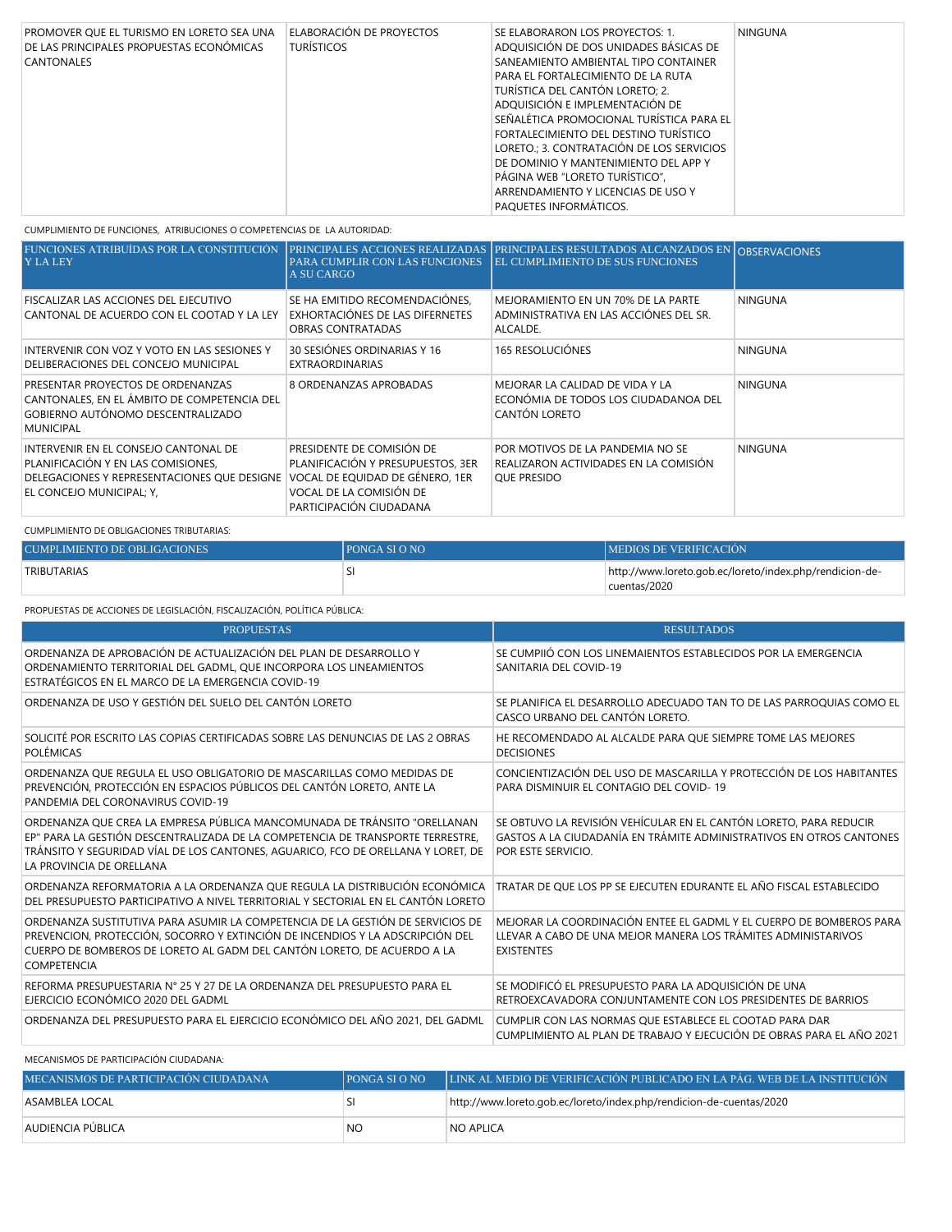| PROMOVER QUE EL TURISMO EN LORETO SEA UNA<br>DE LAS PRINCIPALES PROPUESTAS ECONÓMICAS<br><b>CANTONALES</b> | ELABORACIÓN DE PROYECTOS<br><b>TURÍSTICOS</b> | SE ELABORARON LOS PROYECTOS: 1.<br>ADQUISICIÓN DE DOS UNIDADES BÁSICAS DE<br>SANEAMIENTO AMBIENTAL TIPO CONTAINER<br>PARA EL FORTALECIMIENTO DE LA RUTA | NINGUNA |
|------------------------------------------------------------------------------------------------------------|-----------------------------------------------|---------------------------------------------------------------------------------------------------------------------------------------------------------|---------|
|                                                                                                            |                                               | TURÍSTICA DEL CANTÓN LORETO: 2.<br>ADOUISICIÓN E IMPLEMENTACIÓN DE                                                                                      |         |
|                                                                                                            |                                               | SEÑALÉTICA PROMOCIONAL TURÍSTICA PARA EL<br>FORTALECIMIENTO DEL DESTINO TURÍSTICO<br>LORETO.; 3. CONTRATACIÓN DE LOS SERVICIOS                          |         |
|                                                                                                            |                                               | DE DOMINIO Y MANTENIMIENTO DEL APP Y<br>PÁGINA WEB "LORETO TURÍSTICO".<br>ARRENDAMIENTO Y LICENCIAS DE USO Y                                            |         |
|                                                                                                            |                                               | <b>PAQUETES INFORMÁTICOS.</b>                                                                                                                           |         |

CUMPLIMIENTO DE FUNCIONES, ATRIBUCIONES O COMPETENCIAS DE LA AUTORIDAD:

| FUNCIONES ATRIBUÍDAS POR LA CONSTITUCIÓN<br><b>Y LA LEY</b>                                                                                           | PARA CUMPLIR CON LAS FUNCIONES<br><b>A SU CARGO</b>                                                                                                     | PRINCIPALES ACCIONES REALIZADAS PRINCIPALES RESULTADOS ALCANZADOS EN OBSERVACIONES<br><b>EL CUMPLIMIENTO DE SUS FUNCIONES</b> |                |
|-------------------------------------------------------------------------------------------------------------------------------------------------------|---------------------------------------------------------------------------------------------------------------------------------------------------------|-------------------------------------------------------------------------------------------------------------------------------|----------------|
| FISCALIZAR LAS ACCIONES DEL EJECUTIVO<br>CANTONAL DE ACUERDO CON EL COOTAD Y LA LEY                                                                   | SE HA EMITIDO RECOMENDACIÓNES,<br>EXHORTACIÓNES DE LAS DIFERNETES<br>OBRAS CONTRATADAS                                                                  | MEJORAMIENTO EN UN 70% DE LA PARTE<br>ADMINISTRATIVA EN LAS ACCIÓNES DEL SR.<br>ALCALDE.                                      | <b>NINGUNA</b> |
| INTERVENIR CON VOZ Y VOTO EN LAS SESIONES Y<br>DELIBERACIONES DEL CONCEJO MUNICIPAL                                                                   | 30 SESIÓNES ORDINARIAS Y 16<br>EXTRAORDINARIAS                                                                                                          | <b>165 RESOLUCIÓNES</b>                                                                                                       | <b>NINGUNA</b> |
| PRESENTAR PROYECTOS DE ORDENANZAS<br>CANTONALES, EN EL ÁMBITO DE COMPETENCIA DEL<br>GOBIERNO AUTÓNOMO DESCENTRALIZADO<br><b>MUNICIPAL</b>             | 8 ORDENANZAS APROBADAS                                                                                                                                  | MEJORAR LA CALIDAD DE VIDA Y LA<br>ECONÓMIA DE TODOS LOS CIUDADANOA DEL<br>CANTÓN LORETO                                      | <b>NINGUNA</b> |
| INTERVENIR EN EL CONSEJO CANTONAL DE<br>PLANIFICACIÓN Y EN LAS COMISIONES,<br>DELEGACIONES Y REPRESENTACIONES QUE DESIGNE<br>EL CONCEJO MUNICIPAL; Y, | PRESIDENTE DE COMISIÓN DE<br>PLANIFICACIÓN Y PRESUPUESTOS, 3ER<br>VOCAL DE EQUIDAD DE GÉNERO, 1ER<br>VOCAL DE LA COMISIÓN DE<br>PARTICIPACIÓN CIUDADANA | POR MOTIVOS DE LA PANDEMIA NO SE<br>REALIZARON ACTIVIDADES EN LA COMISIÓN<br><b>OUE PRESIDO</b>                               | <b>NINGUNA</b> |

CUMPLIMIENTO DE OBLIGACIONES TRIBUTARIAS:

| CUMPLIMIENTO DE OBLIGACIONES | <b>IPONGA SI O NO</b> | <b>IMEDIOS DE VERIFICACIÓN</b>                          |
|------------------------------|-----------------------|---------------------------------------------------------|
| TRIBUTARIAS                  |                       | http://www.loreto.gob.ec/loreto/index.php/rendicion-de- |
|                              |                       | cuentas/2020                                            |

PROPUESTAS DE ACCIONES DE LEGISLACIÓN, FISCALIZACIÓN, POLÍTICA PÚBLICA:

| <b>PROPUESTAS</b>                                                                                                                                                                                                                                                          | <b>RESULTADOS</b>                                                                                                                                              |
|----------------------------------------------------------------------------------------------------------------------------------------------------------------------------------------------------------------------------------------------------------------------------|----------------------------------------------------------------------------------------------------------------------------------------------------------------|
| ORDENANZA DE APROBACIÓN DE ACTUALIZACIÓN DEL PLAN DE DESARROLLO Y<br>ORDENAMIENTO TERRITORIAL DEL GADML, QUE INCORPORA LOS LINEAMIENTOS<br>ESTRATÉGICOS EN EL MARCO DE LA EMERGENCIA COVID-19                                                                              | SE CUMPIIÓ CON LOS LINEMAIENTOS ESTABLECIDOS POR LA EMERGENCIA<br>SANITARIA DEL COVID-19                                                                       |
| ORDENANZA DE USO Y GESTIÓN DEL SUELO DEL CANTÓN LORETO                                                                                                                                                                                                                     | SE PLANIFICA EL DESARROLLO ADECUADO TAN TO DE LAS PARROQUIAS COMO EL<br>CASCO URBANO DEL CANTÓN LORETO.                                                        |
| SOLICITÉ POR ESCRITO LAS COPIAS CERTIFICADAS SOBRE LAS DENUNCIAS DE LAS 2 OBRAS<br><b>POLÉMICAS</b>                                                                                                                                                                        | HE RECOMENDADO AL ALCALDE PARA QUE SIEMPRE TOME LAS MEJORES<br><b>DECISIONES</b>                                                                               |
| ORDENANZA QUE REGULA EL USO OBLIGATORIO DE MASCARILLAS COMO MEDIDAS DE<br>PREVENCIÓN, PROTECCIÓN EN ESPACIOS PÚBLICOS DEL CANTÓN LORETO, ANTE LA<br>PANDEMIA DEL CORONAVIRUS COVID-19                                                                                      | CONCIENTIZACIÓN DEL USO DE MASCARILLA Y PROTECCIÓN DE LOS HABITANTES<br>PARA DISMINUIR EL CONTAGIO DEL COVID-19                                                |
| ORDENANZA QUE CREA LA EMPRESA PÚBLICA MANCOMUNADA DE TRÁNSITO "ORELLANAN<br>EP" PARA LA GESTIÓN DESCENTRALIZADA DE LA COMPETENCIA DE TRANSPORTE TERRESTRE.<br>TRÁNSITO Y SEGURIDAD VÍAL DE LOS CANTONES, AGUARICO, FCO DE ORELLANA Y LORET, DE<br>LA PROVINCIA DE ORELLANA | SE OBTUVO LA REVISIÓN VEHÍCULAR EN EL CANTÓN LORETO, PARA REDUCIR<br>GASTOS A LA CIUDADANÍA EN TRÁMITE ADMINISTRATIVOS EN OTROS CANTONES<br>POR ESTE SERVICIO. |
| ORDENANZA REFORMATORIA A LA ORDENANZA QUE REGULA LA DISTRIBUCIÓN ECONÓMICA<br>DEL PRESUPUESTO PARTICIPATIVO A NIVEL TERRITORIAL Y SECTORIAL EN EL CANTÓN LORETO                                                                                                            | TRATAR DE QUE LOS PP SE EJECUTEN EDURANTE EL AÑO FISCAL ESTABLECIDO                                                                                            |
| ORDENANZA SUSTITUTIVA PARA ASUMIR LA COMPETENCIA DE LA GESTIÓN DE SERVICIOS DE<br>PREVENCION, PROTECCIÓN, SOCORRO Y EXTINCIÓN DE INCENDIOS Y LA ADSCRIPCIÓN DEL<br>CUERPO DE BOMBEROS DE LORETO AL GADM DEL CANTÓN LORETO, DE ACUERDO A LA<br>COMPETENCIA                  | MEJORAR LA COORDINACIÓN ENTEE EL GADML Y EL CUERPO DE BOMBEROS PARA<br>LLEVAR A CABO DE UNA MEJOR MANERA LOS TRÁMITES ADMINISTARIVOS<br><b>EXISTENTES</b>      |
| REFORMA PRESUPUESTARIA N° 25 Y 27 DE LA ORDENANZA DEL PRESUPUESTO PARA EL<br>EJERCICIO ECONÓMICO 2020 DEL GADML                                                                                                                                                            | SE MODIFICÓ EL PRESUPUESTO PARA LA ADQUISICIÓN DE UNA<br>RETROEXCAVADORA CONJUNTAMENTE CON LOS PRESIDENTES DE BARRIOS                                          |
| ORDENANZA DEL PRESUPUESTO PARA EL EJERCICIO ECONÓMICO DEL AÑO 2021, DEL GADML                                                                                                                                                                                              | CUMPLIR CON LAS NORMAS QUE ESTABLECE EL COOTAD PARA DAR<br>CUMPLIMIENTO AL PLAN DE TRABAJO Y EJECUCIÓN DE OBRAS PARA EL AÑO 2021                               |

### MECANISMOS DE PARTICIPACIÓN CIUDADANA:

| MECANISMOS DE PARTICIPACIÓN CIUDADANA | <b>PONGA SLO NO</b> | I LINK AL MEDIO DE VERIFICACIÓN PUBLICADO EN LA PÁG. WEB DE LA INSTITUCIÓN <sup>1</sup> |
|---------------------------------------|---------------------|-----------------------------------------------------------------------------------------|
| ASSAMBLEA LOCAL                       |                     | http://www.loreto.gob.ec/loreto/index.php/rendicion-de-cuentas/2020                     |
| AUDIENCIA PÜBLICA                     | NO                  | <b>NO APLICA</b>                                                                        |